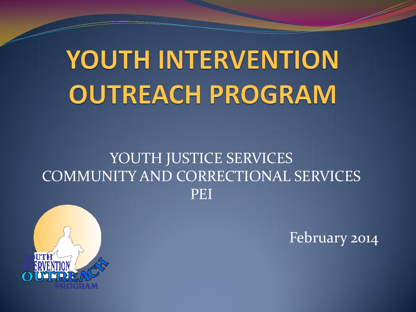# YOUTH INTERVENTION **OUTREACH PROGRAM**

#### YOUTH JUSTICE SERVICES COMMUNITY AND CORRECTIONAL SERVICES PEI



February 2014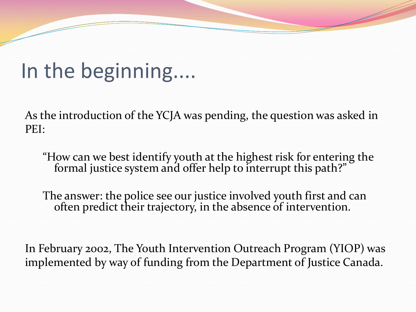#### In the beginning....

As the introduction of the YCJA was pending, the question was asked in PEI:

"How can we best identify youth at the highest risk for entering the formal justice system and offer help to interrupt this path?"

The answer: the police see our justice involved youth first and can often predict their trajectory, in the absence of intervention.

In February 2002, The Youth Intervention Outreach Program (YIOP) was implemented by way of funding from the Department of Justice Canada.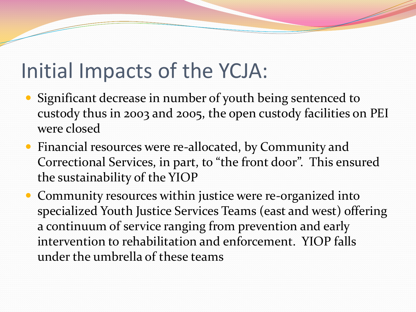#### Initial Impacts of the YCJA:

- Significant decrease in number of youth being sentenced to custody thus in 2003 and 2005, the open custody facilities on PEI were closed
- Financial resources were re-allocated, by Community and Correctional Services, in part, to "the front door". This ensured the sustainability of the YIOP
- Community resources within justice were re-organized into specialized Youth Justice Services Teams (east and west) offering a continuum of service ranging from prevention and early intervention to rehabilitation and enforcement. YIOP falls under the umbrella of these teams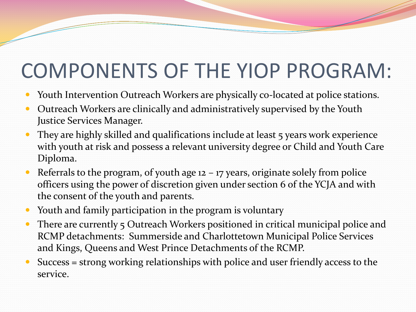#### COMPONENTS OF THE YIOP PROGRAM:

- Youth Intervention Outreach Workers are physically co-located at police stations.
- Outreach Workers are clinically and administratively supervised by the Youth Justice Services Manager.
- They are highly skilled and qualifications include at least 5 years work experience with youth at risk and possess a relevant university degree or Child and Youth Care Diploma.
- Referrals to the program, of youth age  $12 17$  years, originate solely from police officers using the power of discretion given under section 6 of the YCJA and with the consent of the youth and parents.
- Youth and family participation in the program is voluntary
- There are currently 5 Outreach Workers positioned in critical municipal police and RCMP detachments: Summerside and Charlottetown Municipal Police Services and Kings, Queens and West Prince Detachments of the RCMP.
- Success = strong working relationships with police and user friendly access to the service.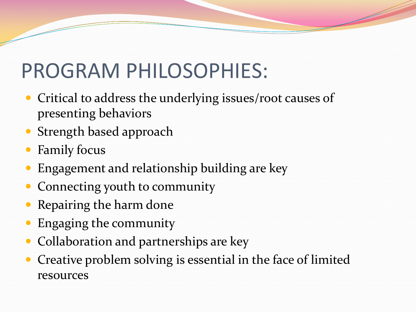### PROGRAM PHILOSOPHIES:

- Critical to address the underlying issues/root causes of presenting behaviors
- Strength based approach
- Family focus
- Engagement and relationship building are key
- Connecting youth to community
- Repairing the harm done
- Engaging the community
- Collaboration and partnerships are key
- Creative problem solving is essential in the face of limited resources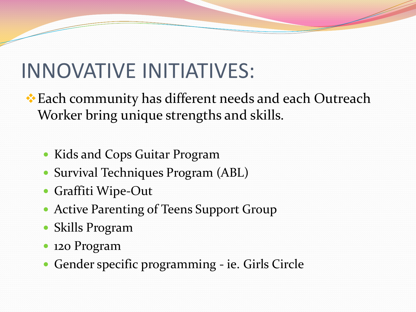#### INNOVATIVE INITIATIVES:

- Each community has different needs and each Outreach Worker bring unique strengths and skills.
	- Kids and Cops Guitar Program
	- Survival Techniques Program (ABL)
	- Graffiti Wipe-Out
	- Active Parenting of Teens Support Group
	- Skills Program
	- 120 Program
	- Gender specific programming ie. Girls Circle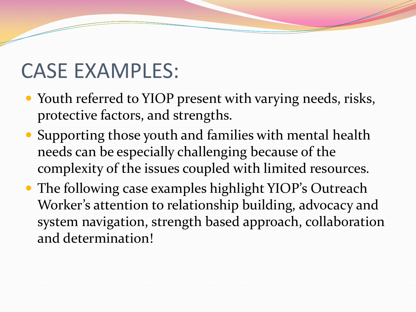#### CASE EXAMPLES:

- Youth referred to YIOP present with varying needs, risks, protective factors, and strengths.
- Supporting those youth and families with mental health needs can be especially challenging because of the complexity of the issues coupled with limited resources.
- The following case examples highlight YIOP's Outreach Worker's attention to relationship building, advocacy and system navigation, strength based approach, collaboration and determination!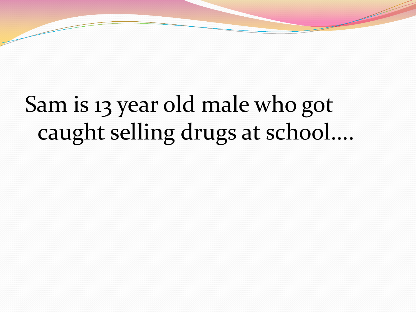### Sam is 13 year old male who got caught selling drugs at school....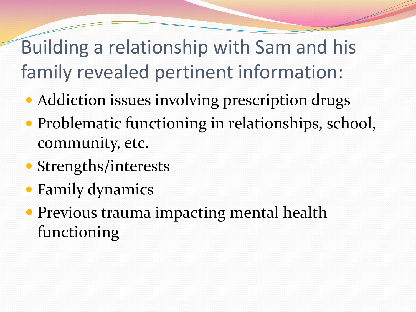Building a relationship with Sam and his family revealed pertinent information:

- Addiction issues involving prescription drugs
- Problematic functioning in relationships, school, community, etc.
- Strengths/interests
- Family dynamics
- Previous trauma impacting mental health functioning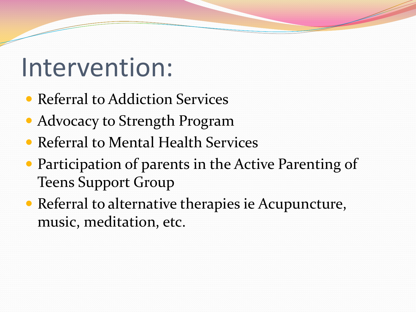# Intervention:

- Referral to Addiction Services
- Advocacy to Strength Program
- Referral to Mental Health Services
- Participation of parents in the Active Parenting of Teens Support Group
- Referral to alternative therapies ie Acupuncture, music, meditation, etc.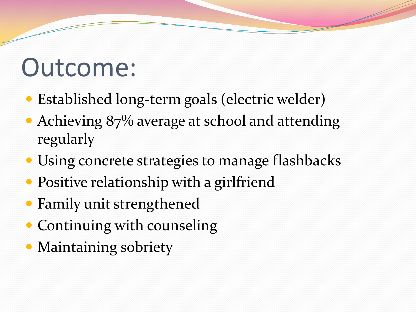# Outcome:

- Established long-term goals (electric welder)
- Achieving 87% average at school and attending regularly
- Using concrete strategies to manage flashbacks
- Positive relationship with a girlfriend
- Family unit strengthened
- Continuing with counseling
- Maintaining sobriety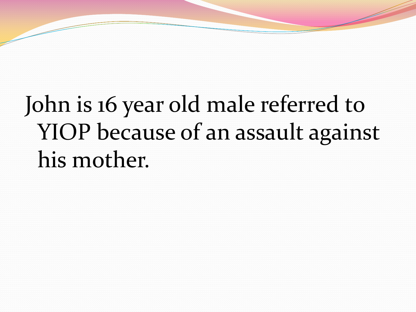# John is 16 year old male referred to YIOP because of an assault against his mother.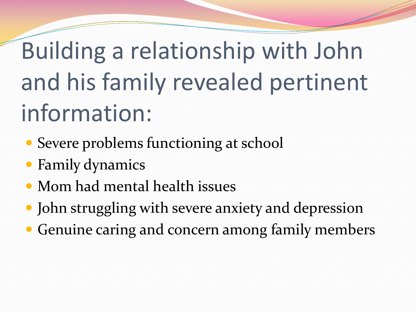# Building a relationship with John and his family revealed pertinent information:

- Severe problems functioning at school
- Family dynamics
- Mom had mental health issues
- John struggling with severe anxiety and depression
- Genuine caring and concern among family members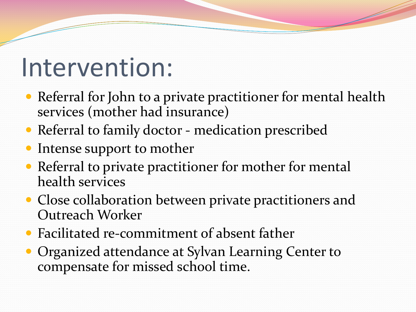# Intervention:

- Referral for John to a private practitioner for mental health services (mother had insurance)
- Referral to family doctor medication prescribed
- Intense support to mother
- Referral to private practitioner for mother for mental health services
- Close collaboration between private practitioners and Outreach Worker
- Facilitated re-commitment of absent father
- **Organized attendance at Sylvan Learning Center to** compensate for missed school time.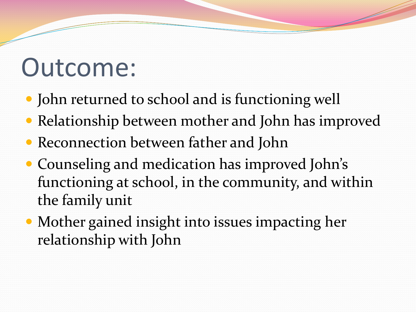# Outcome:

- John returned to school and is functioning well
- Relationship between mother and John has improved
- Reconnection between father and John
- Counseling and medication has improved John's functioning at school, in the community, and within the family unit
- Mother gained insight into issues impacting her relationship with John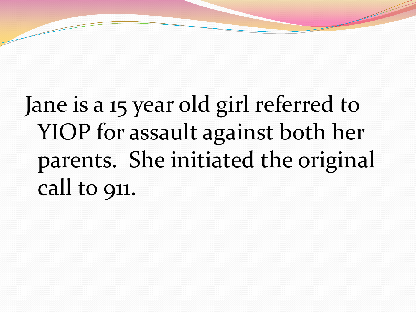# Jane is a 15 year old girl referred to YIOP for assault against both her parents. She initiated the original call to 911.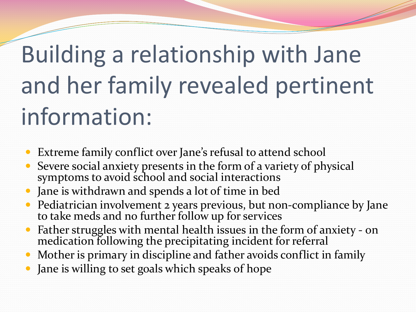# Building a relationship with Jane and her family revealed pertinent information:

- Extreme family conflict over Jane's refusal to attend school
- Severe social anxiety presents in the form of a variety of physical symptoms to avoid school and social interactions
- Jane is withdrawn and spends a lot of time in bed
- Pediatrician involvement 2 years previous, but non-compliance by Jane to take meds and no further follow up for services
- Father struggles with mental health issues in the form of anxiety on medication following the precipitating incident for referral
- Mother is primary in discipline and father avoids conflict in family
- Jane is willing to set goals which speaks of hope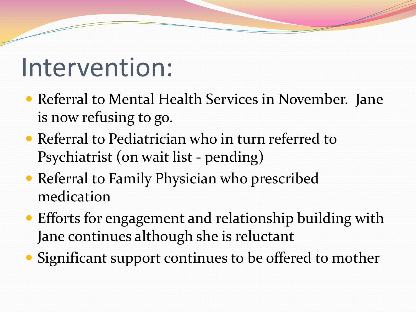### Intervention:

- Referral to Mental Health Services in November. Jane is now refusing to go.
- Referral to Pediatrician who in turn referred to Psychiatrist (on wait list - pending)
- Referral to Family Physician who prescribed medication
- Efforts for engagement and relationship building with Jane continues although she is reluctant
- Significant support continues to be offered to mother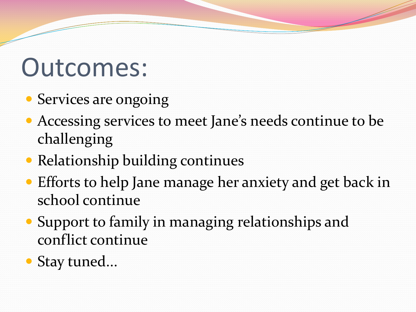# Outcomes:

- Services are ongoing
- Accessing services to meet Jane's needs continue to be challenging
- Relationship building continues
- Efforts to help Jane manage her anxiety and get back in school continue
- Support to family in managing relationships and conflict continue
- Stay tuned...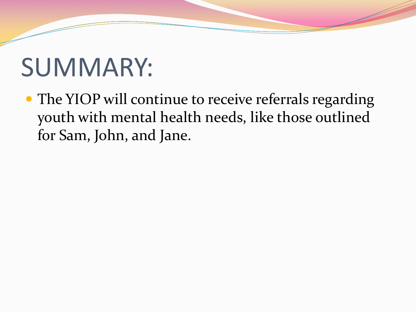# SUMMARY:

• The YIOP will continue to receive referrals regarding youth with mental health needs, like those outlined for Sam, John, and Jane.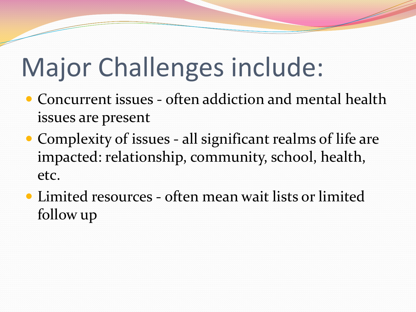# Major Challenges include:

- Concurrent issues often addiction and mental health issues are present
- Complexity of issues all significant realms of life are impacted: relationship, community, school, health, etc.
- Limited resources often mean wait lists or limited follow up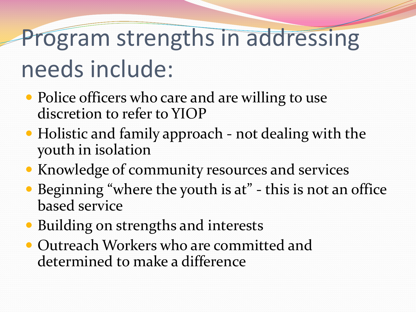# Program strengths in addressing needs include:

- Police officers who care and are willing to use discretion to refer to YIOP
- Holistic and family approach not dealing with the youth in isolation
- Knowledge of community resources and services
- Beginning "where the youth is at" this is not an office based service
- Building on strengths and interests
- Outreach Workers who are committed and determined to make a difference